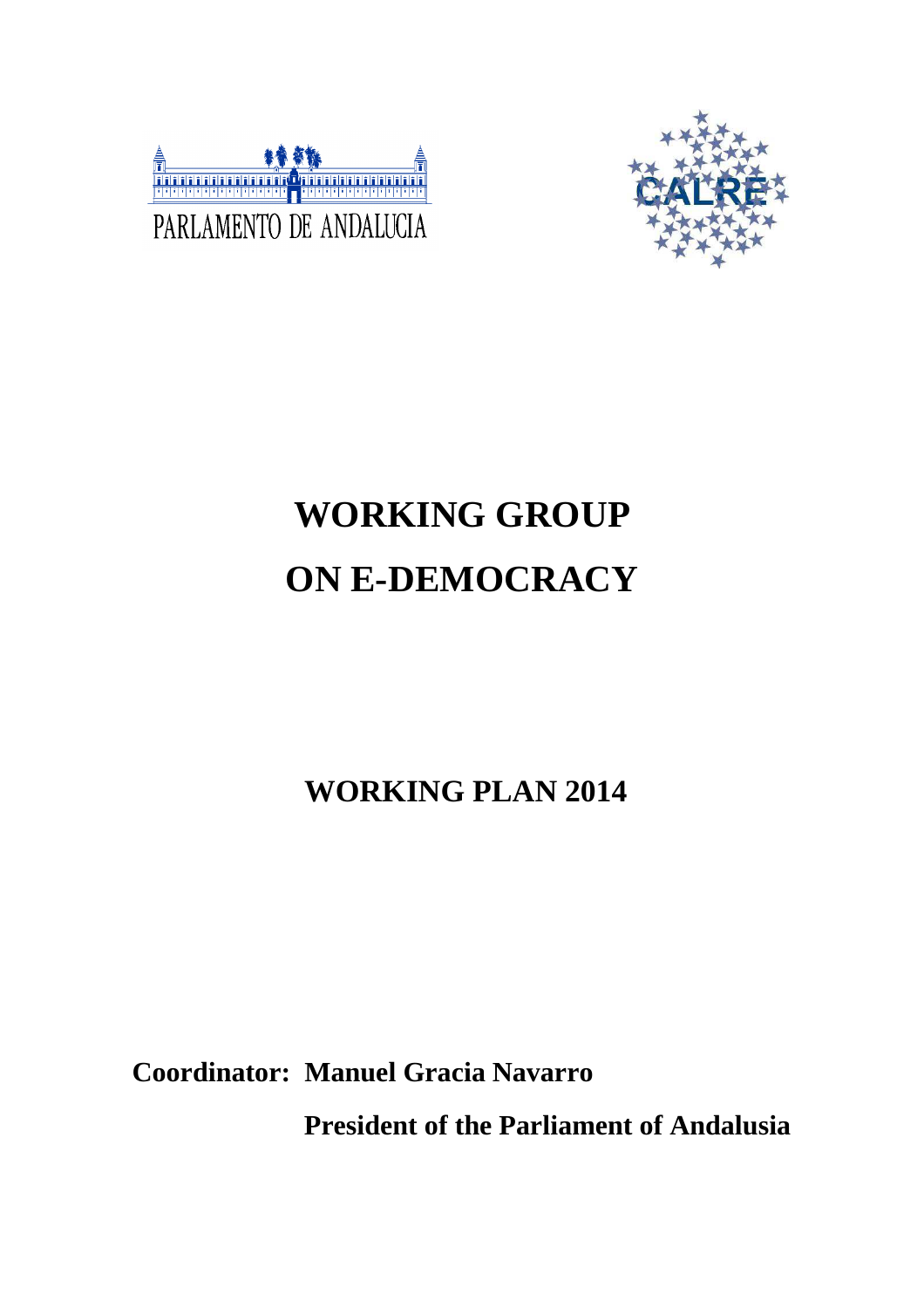



# **WORKING GROUP ON E-DEMOCRACY**

**WORKING PLAN 2014** 

**Coordinator: Manuel Gracia Navarro** 

 **President of the Parliament of Andalusia**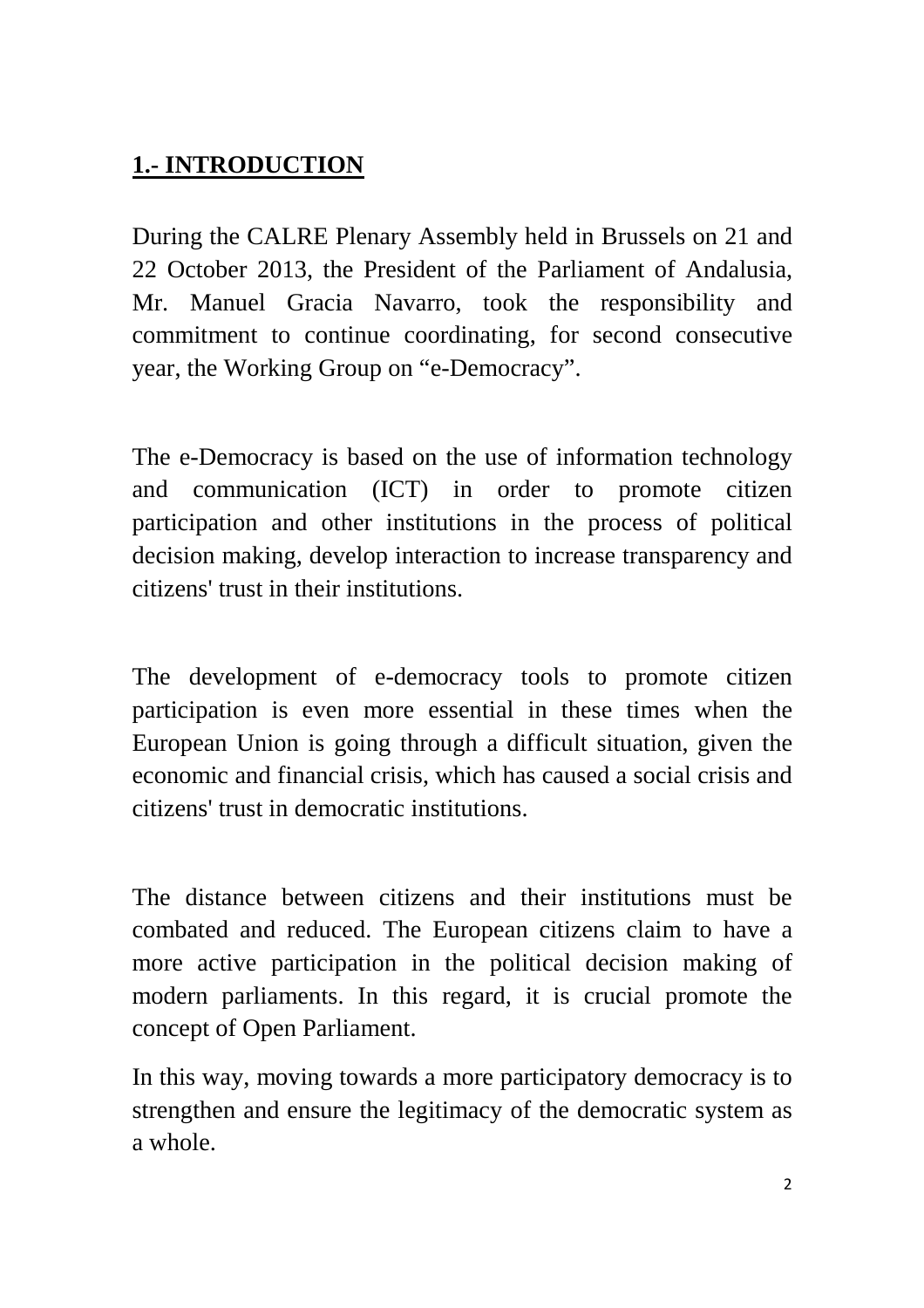## **1.- INTRODUCTION**

During the CALRE Plenary Assembly held in Brussels on 21 and 22 October 2013, the President of the Parliament of Andalusia, Mr. Manuel Gracia Navarro, took the responsibility and commitment to continue coordinating, for second consecutive year, the Working Group on "e-Democracy".

The e-Democracy is based on the use of information technology and communication (ICT) in order to promote citizen participation and other institutions in the process of political decision making, develop interaction to increase transparency and citizens' trust in their institutions.

The development of e-democracy tools to promote citizen participation is even more essential in these times when the European Union is going through a difficult situation, given the economic and financial crisis, which has caused a social crisis and citizens' trust in democratic institutions.

The distance between citizens and their institutions must be combated and reduced. The European citizens claim to have a more active participation in the political decision making of modern parliaments. In this regard, it is crucial promote the concept of Open Parliament.

In this way, moving towards a more participatory democracy is to strengthen and ensure the legitimacy of the democratic system as a whole.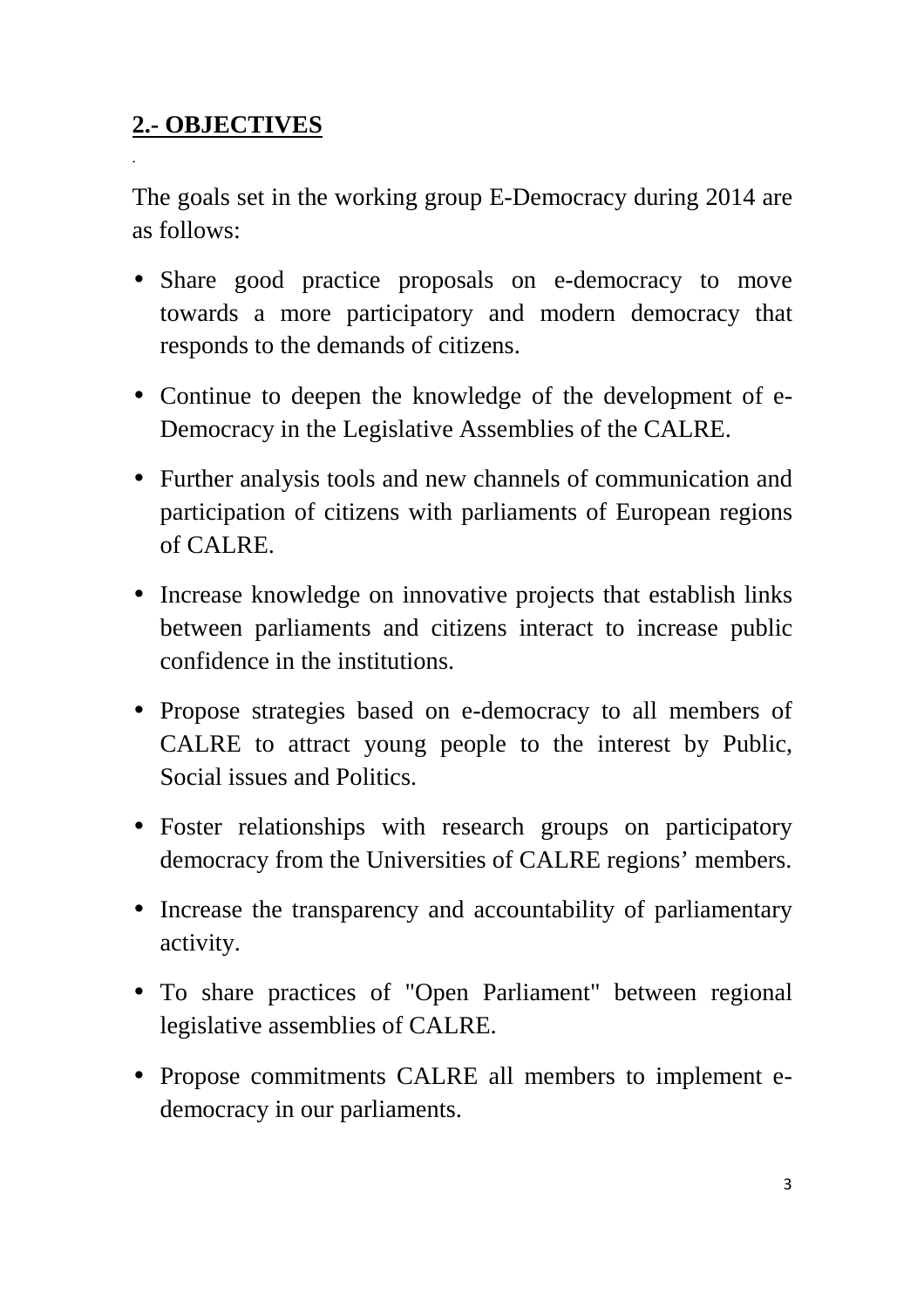## **2.- OBJECTIVES**

•

The goals set in the working group E-Democracy during 2014 are as follows:

- Share good practice proposals on e-democracy to move towards a more participatory and modern democracy that responds to the demands of citizens.
- Continue to deepen the knowledge of the development of e-Democracy in the Legislative Assemblies of the CALRE.
- Further analysis tools and new channels of communication and participation of citizens with parliaments of European regions of CALRE.
- Increase knowledge on innovative projects that establish links between parliaments and citizens interact to increase public confidence in the institutions.
- Propose strategies based on e-democracy to all members of CALRE to attract young people to the interest by Public, Social issues and Politics.
- Foster relationships with research groups on participatory democracy from the Universities of CALRE regions' members.
- Increase the transparency and accountability of parliamentary activity.
- To share practices of "Open Parliament" between regional legislative assemblies of CALRE.
- Propose commitments CALRE all members to implement edemocracy in our parliaments.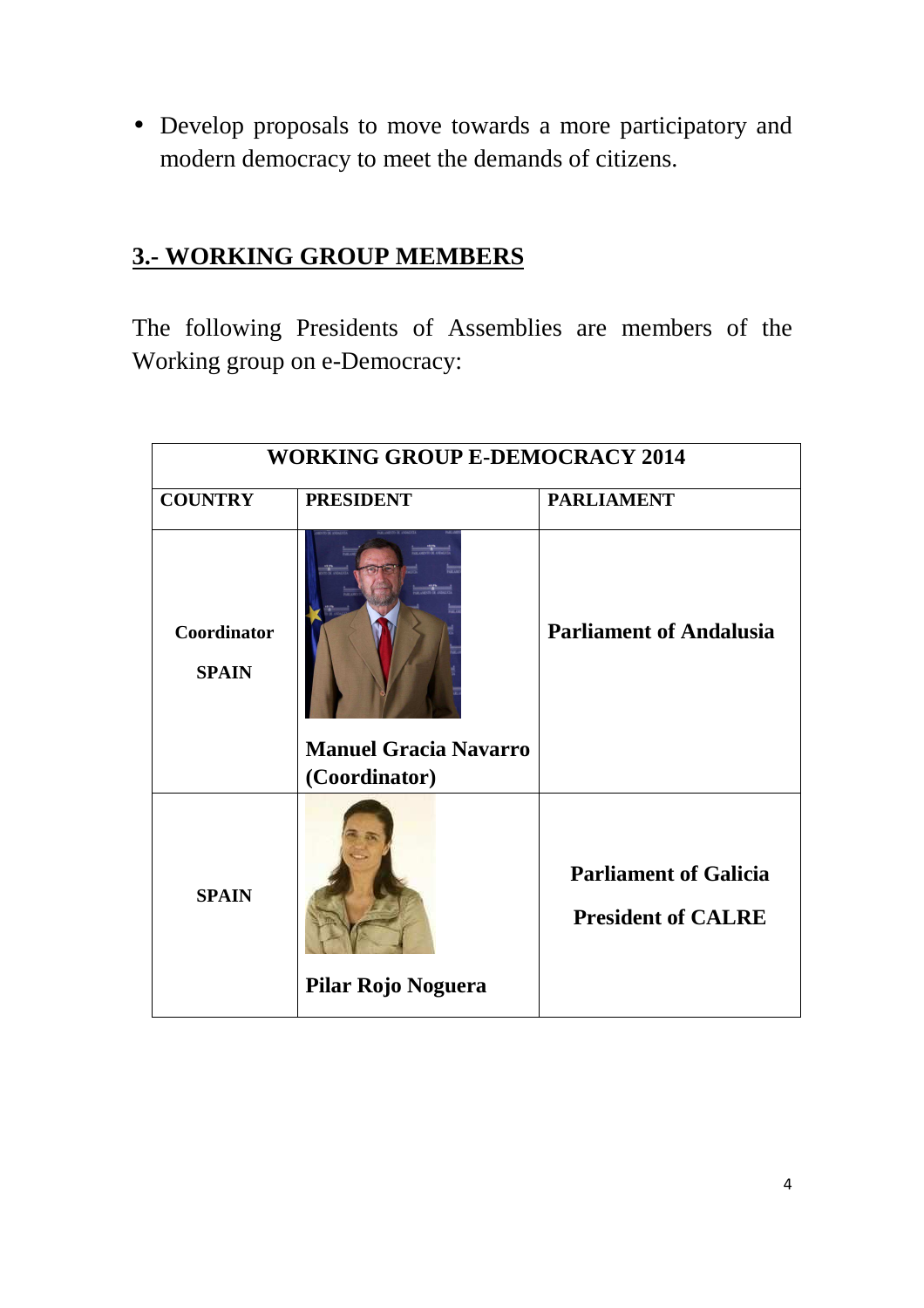• Develop proposals to move towards a more participatory and modern democracy to meet the demands of citizens.

## **3.- WORKING GROUP MEMBERS**

The following Presidents of Assemblies are members of the Working group on e-Democracy:

| <b>WORKING GROUP E-DEMOCRACY 2014</b> |                                               |                                                           |  |
|---------------------------------------|-----------------------------------------------|-----------------------------------------------------------|--|
| <b>COUNTRY</b>                        | <b>PRESIDENT</b>                              | <b>PARLIAMENT</b>                                         |  |
| Coordinator<br><b>SPAIN</b>           |                                               | <b>Parliament of Andalusia</b>                            |  |
|                                       | <b>Manuel Gracia Navarro</b><br>(Coordinator) |                                                           |  |
| <b>SPAIN</b>                          | Pilar Rojo Noguera                            | <b>Parliament of Galicia</b><br><b>President of CALRE</b> |  |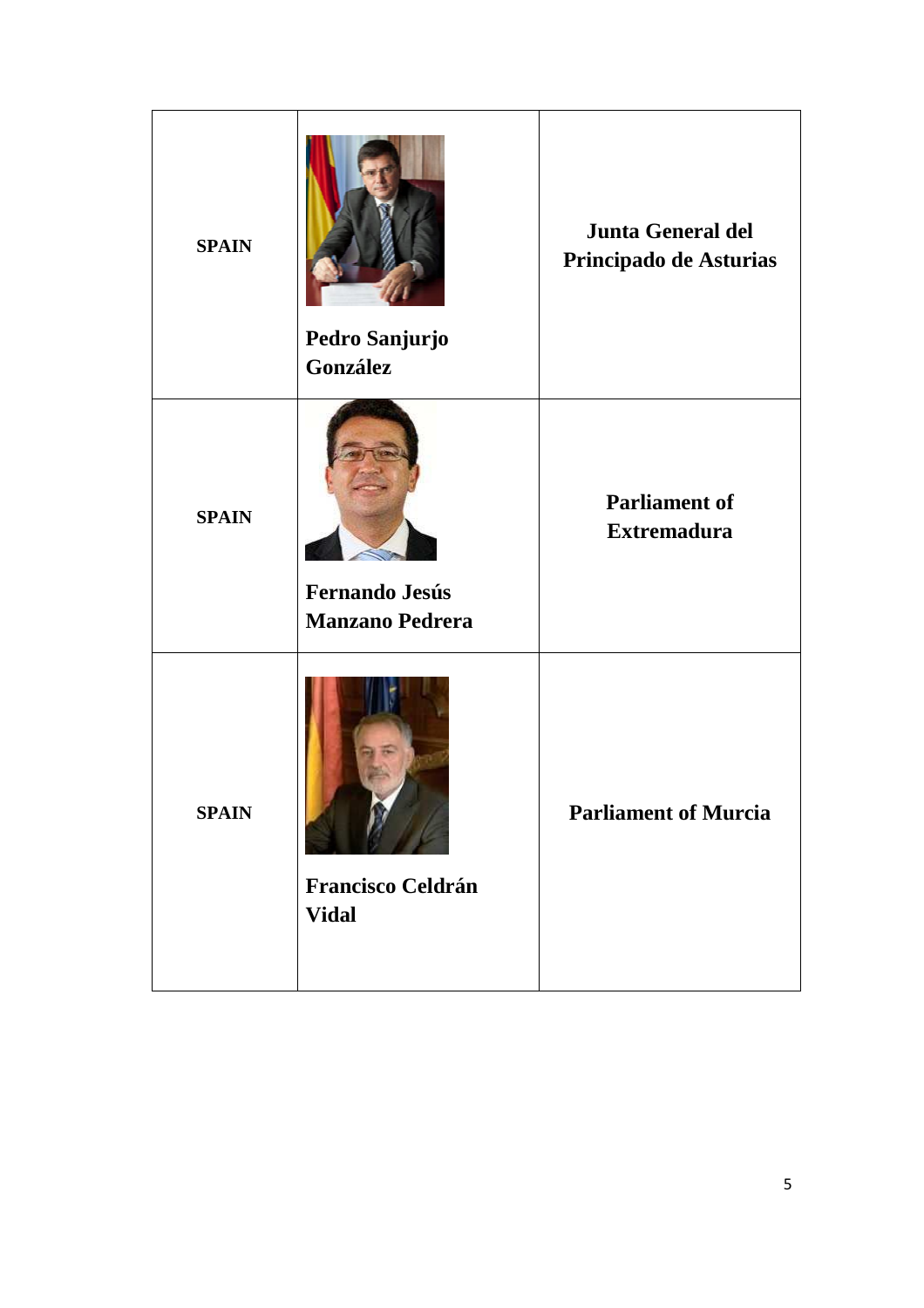| <b>SPAIN</b> | Pedro Sanjurjo<br>González                      | <b>Junta General del</b><br>Principado de Asturias |
|--------------|-------------------------------------------------|----------------------------------------------------|
| <b>SPAIN</b> | <b>Fernando Jesús</b><br><b>Manzano Pedrera</b> | <b>Parliament of</b><br><b>Extremadura</b>         |
| <b>SPAIN</b> | <b>Francisco Celdrán</b><br><b>Vidal</b>        | <b>Parliament of Murcia</b>                        |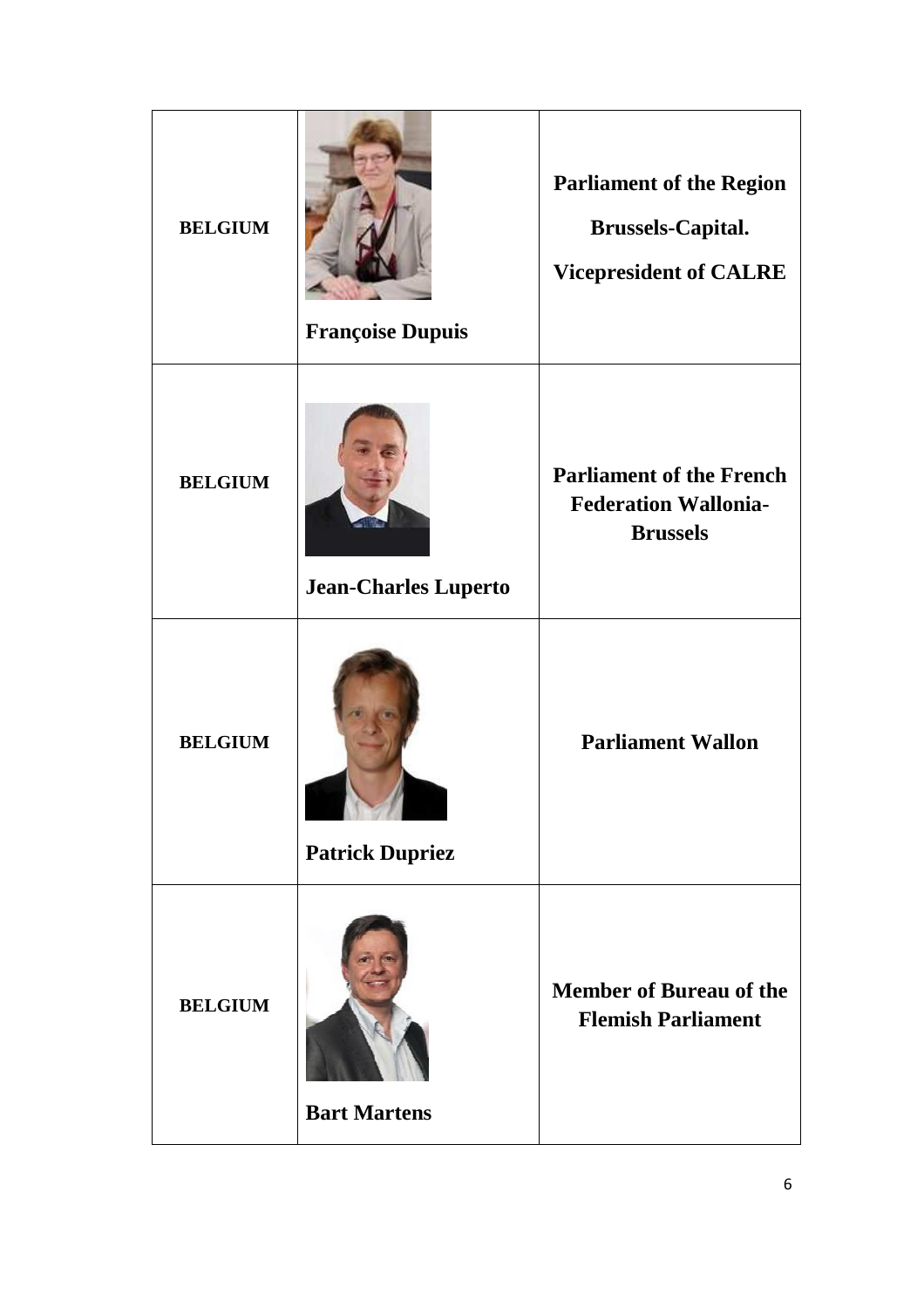| <b>BELGIUM</b> | <b>Françoise Dupuis</b>     | <b>Parliament of the Region</b><br><b>Brussels-Capital.</b><br><b>Vicepresident of CALRE</b> |
|----------------|-----------------------------|----------------------------------------------------------------------------------------------|
| <b>BELGIUM</b> | <b>Jean-Charles Luperto</b> | <b>Parliament of the French</b><br><b>Federation Wallonia-</b><br><b>Brussels</b>            |
| <b>BELGIUM</b> | <b>Patrick Dupriez</b>      | <b>Parliament Wallon</b>                                                                     |
| <b>BELGIUM</b> | <b>Bart Martens</b>         | <b>Member of Bureau of the</b><br><b>Flemish Parliament</b>                                  |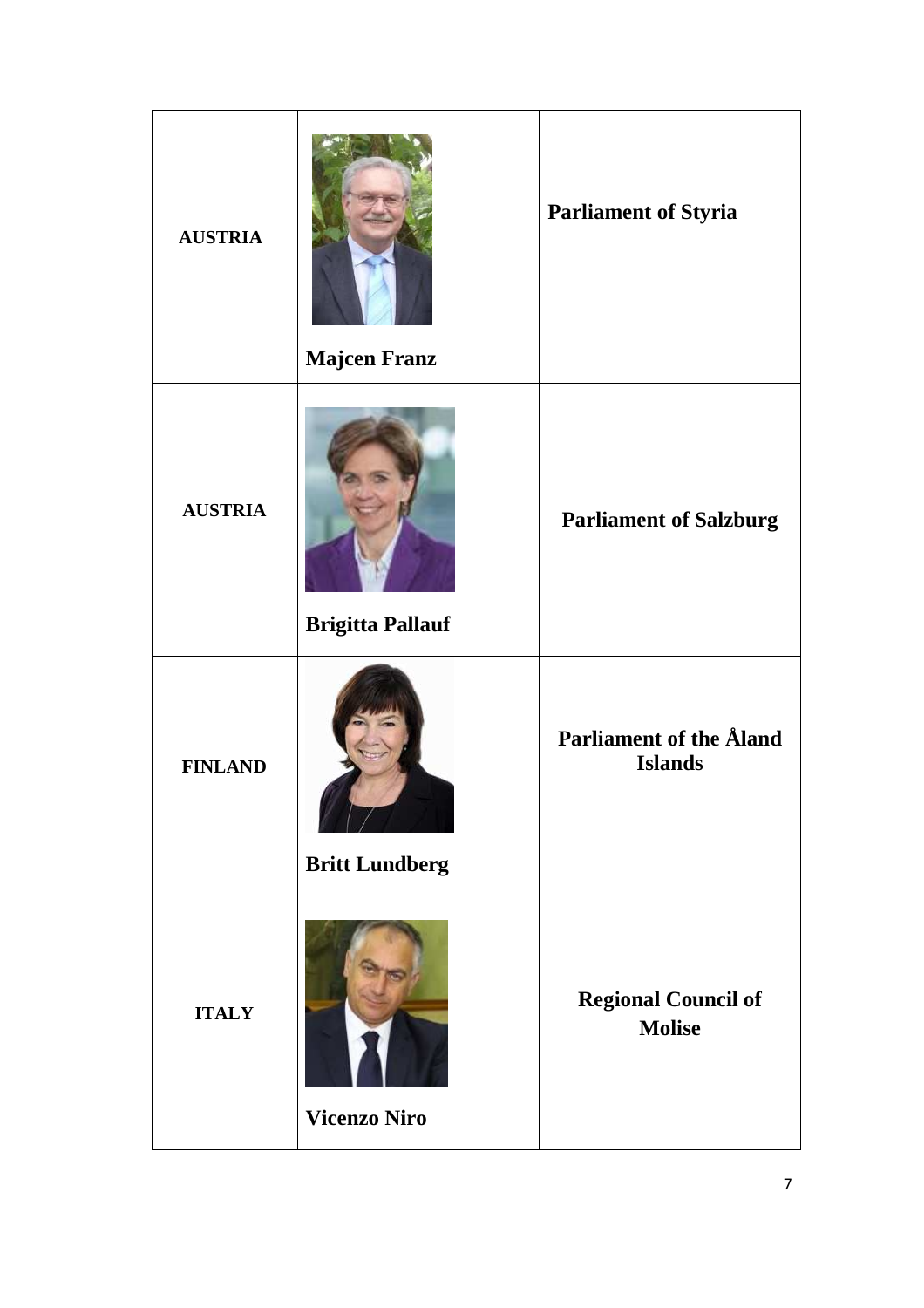| <b>AUSTRIA</b> | <b>Majcen Franz</b>     | <b>Parliament of Styria</b>                      |
|----------------|-------------------------|--------------------------------------------------|
| <b>AUSTRIA</b> | <b>Brigitta Pallauf</b> | <b>Parliament of Salzburg</b>                    |
| <b>FINLAND</b> | <b>Britt Lundberg</b>   | <b>Parliament of the Åland</b><br><b>Islands</b> |
| <b>ITALY</b>   | <b>Vicenzo Niro</b>     | <b>Regional Council of</b><br><b>Molise</b>      |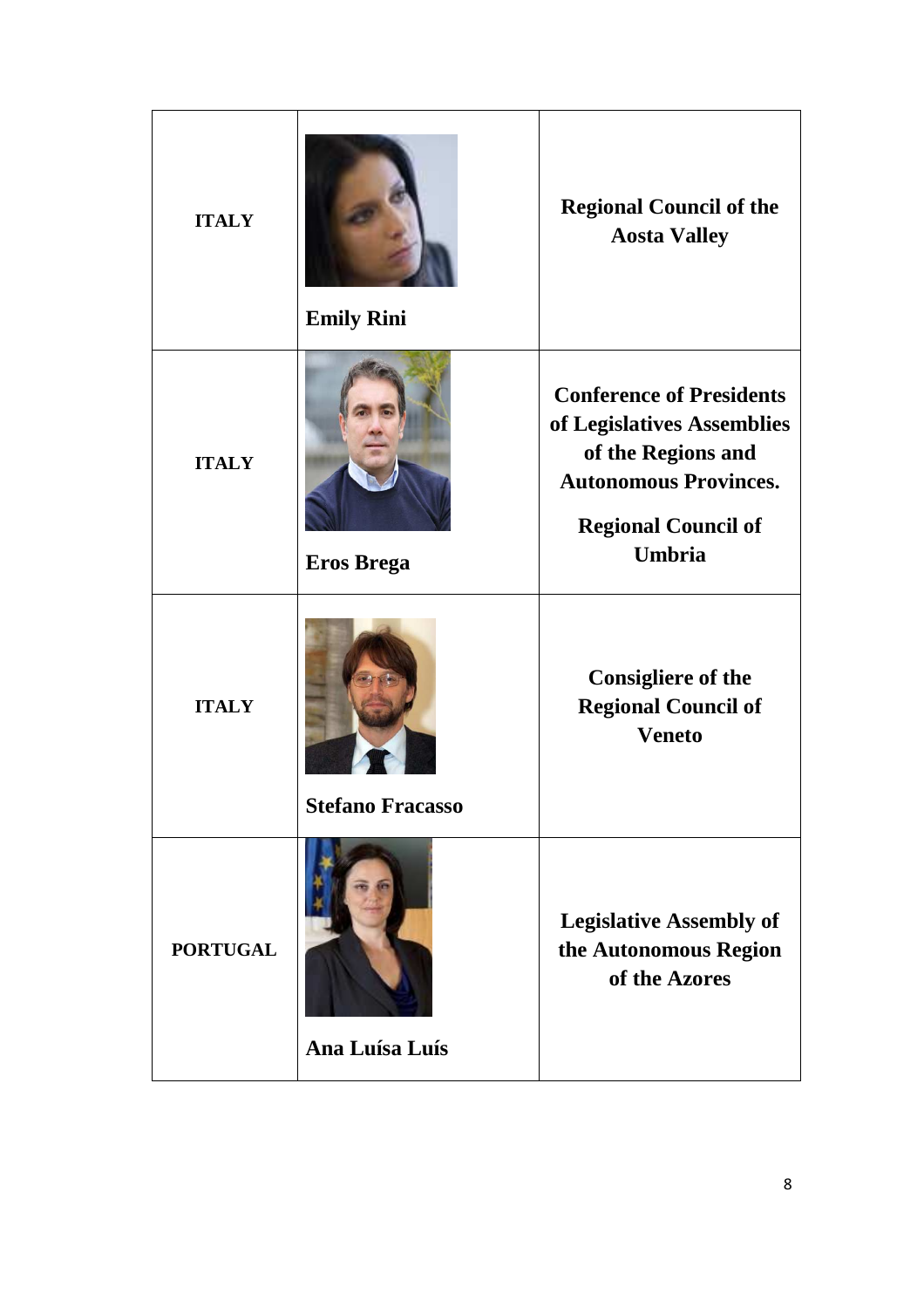| <b>ITALY</b>    | <b>Emily Rini</b>       | <b>Regional Council of the</b><br><b>Aosta Valley</b>                                                                                                              |
|-----------------|-------------------------|--------------------------------------------------------------------------------------------------------------------------------------------------------------------|
| <b>ITALY</b>    | <b>Eros Brega</b>       | <b>Conference of Presidents</b><br>of Legislatives Assemblies<br>of the Regions and<br><b>Autonomous Provinces.</b><br><b>Regional Council of</b><br><b>Umbria</b> |
| <b>ITALY</b>    | <b>Stefano Fracasso</b> | <b>Consigliere of the</b><br><b>Regional Council of</b><br><b>Veneto</b>                                                                                           |
| <b>PORTUGAL</b> | Ana Luísa Luís          | <b>Legislative Assembly of</b><br>the Autonomous Region<br>of the Azores                                                                                           |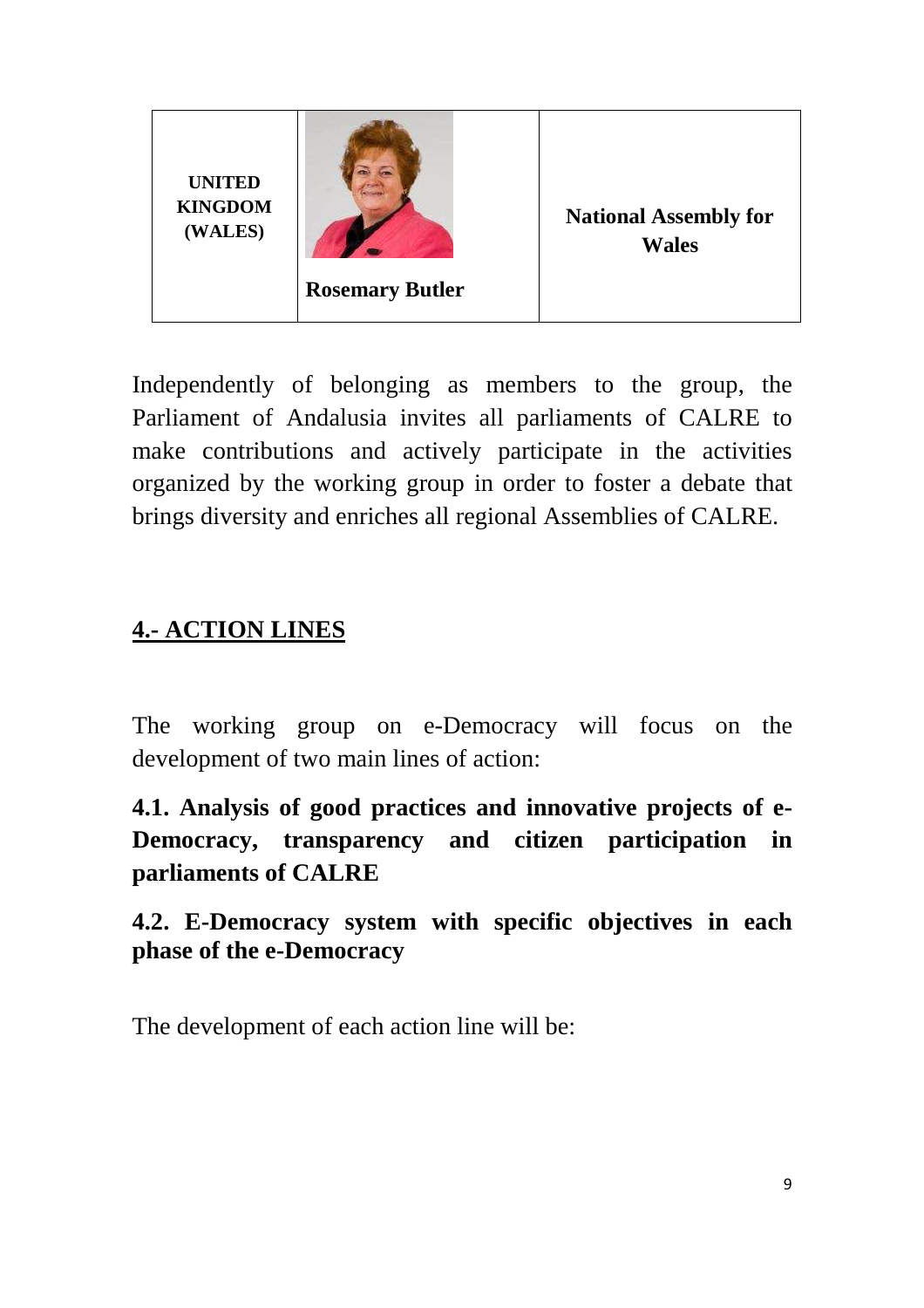

Independently of belonging as members to the group, the Parliament of Andalusia invites all parliaments of CALRE to make contributions and actively participate in the activities organized by the working group in order to foster a debate that brings diversity and enriches all regional Assemblies of CALRE.

#### **4.- ACTION LINES**

The working group on e-Democracy will focus on the development of two main lines of action:

**4.1. Analysis of good practices and innovative projects of e-Democracy, transparency and citizen participation in parliaments of CALRE** 

**4.2. E-Democracy system with specific objectives in each phase of the e-Democracy**

The development of each action line will be: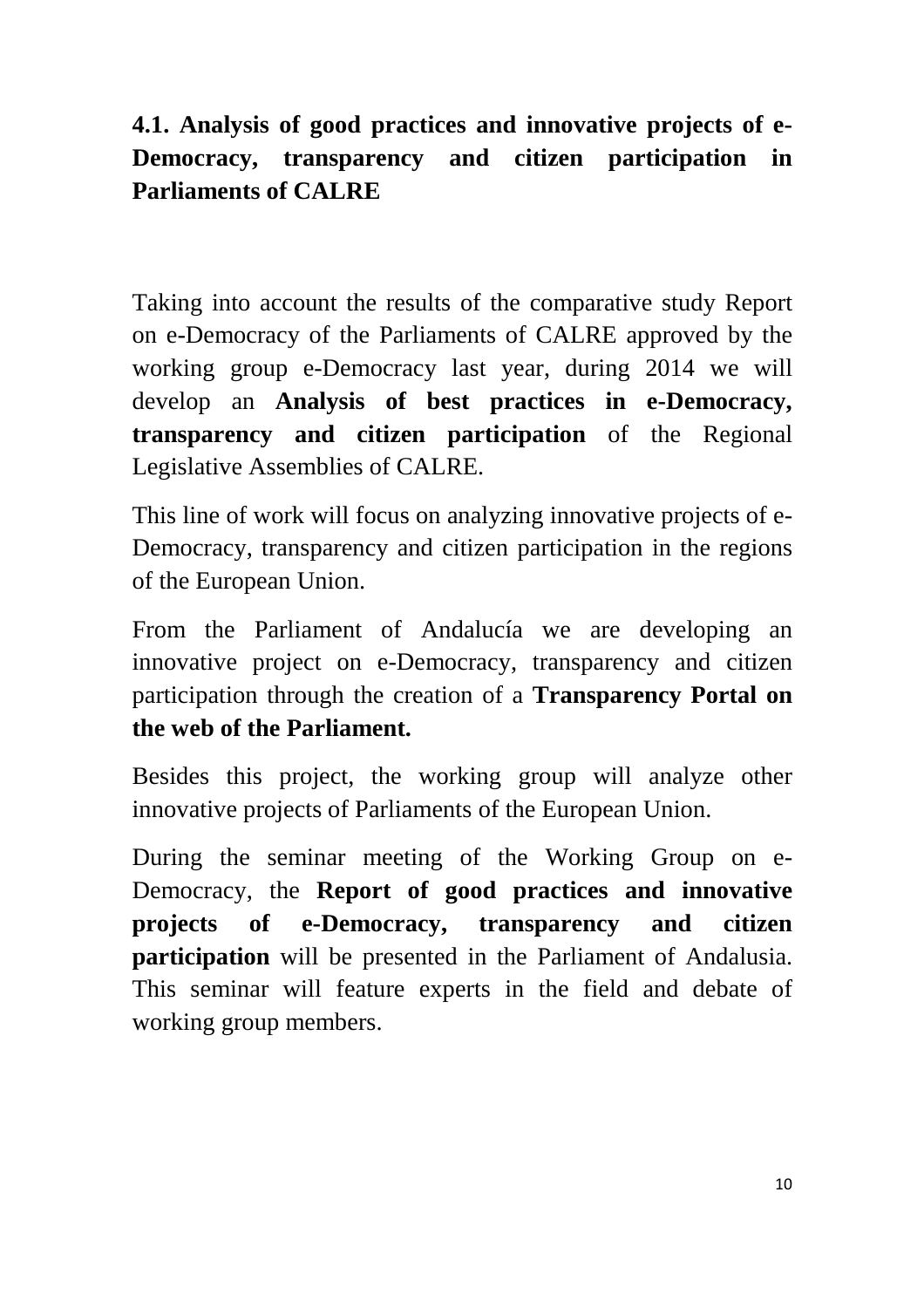# **4.1. Analysis of good practices and innovative projects of e-Democracy, transparency and citizen participation in Parliaments of CALRE**

Taking into account the results of the comparative study Report on e-Democracy of the Parliaments of CALRE approved by the working group e-Democracy last year, during 2014 we will develop an **Analysis of best practices in e-Democracy, transparency and citizen participation** of the Regional Legislative Assemblies of CALRE.

This line of work will focus on analyzing innovative projects of e-Democracy, transparency and citizen participation in the regions of the European Union.

From the Parliament of Andalucía we are developing an innovative project on e-Democracy, transparency and citizen participation through the creation of a **Transparency Portal on the web of the Parliament.** 

Besides this project, the working group will analyze other innovative projects of Parliaments of the European Union.

During the seminar meeting of the Working Group on e-Democracy, the **Report of good practices and innovative projects of e-Democracy, transparency and citizen participation** will be presented in the Parliament of Andalusia. This seminar will feature experts in the field and debate of working group members.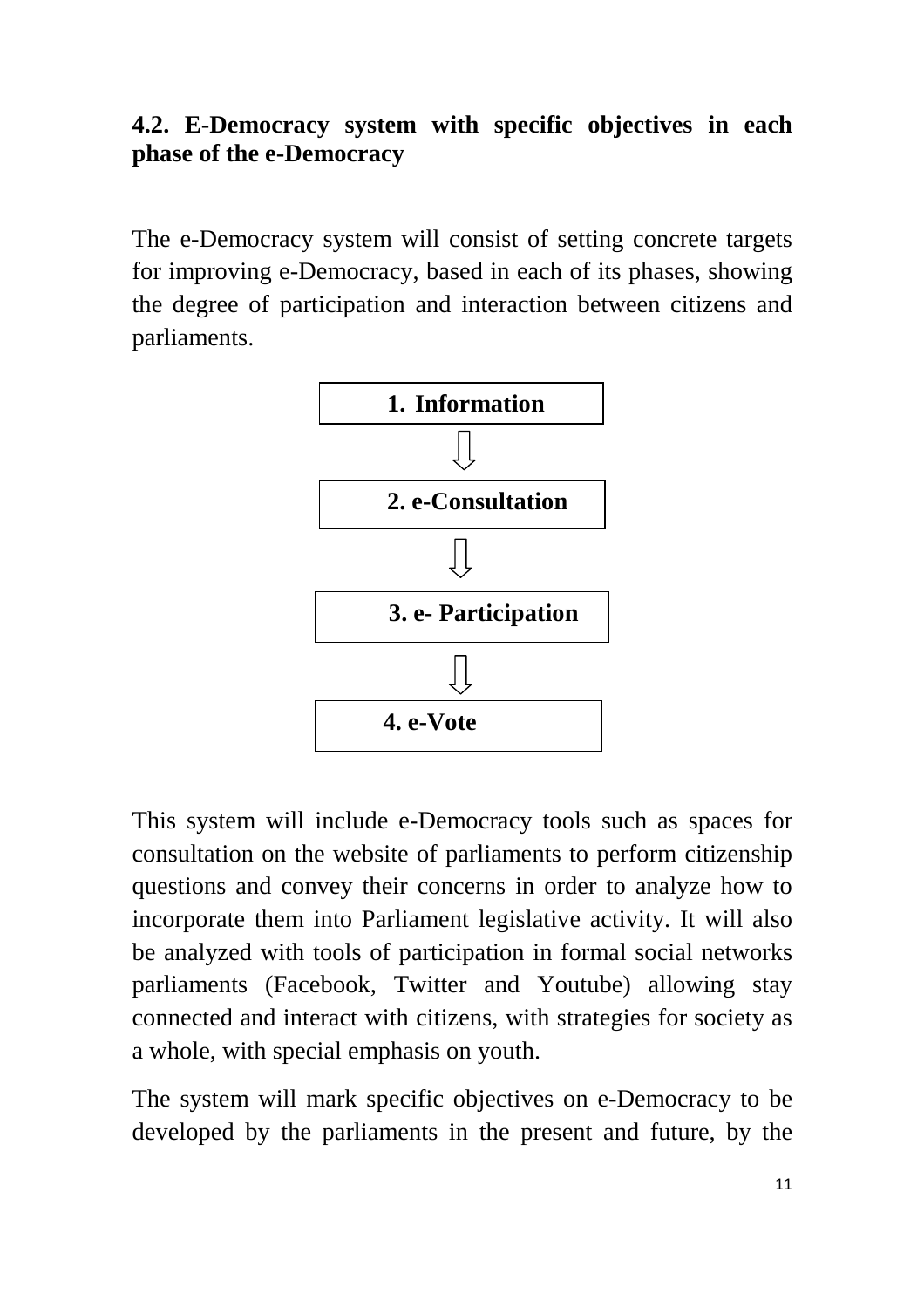#### **4.2. E-Democracy system with specific objectives in each phase of the e-Democracy**

The e-Democracy system will consist of setting concrete targets for improving e-Democracy, based in each of its phases, showing the degree of participation and interaction between citizens and parliaments.



This system will include e-Democracy tools such as spaces for consultation on the website of parliaments to perform citizenship questions and convey their concerns in order to analyze how to incorporate them into Parliament legislative activity. It will also be analyzed with tools of participation in formal social networks parliaments (Facebook, Twitter and Youtube) allowing stay connected and interact with citizens, with strategies for society as a whole, with special emphasis on youth.

The system will mark specific objectives on e-Democracy to be developed by the parliaments in the present and future, by the